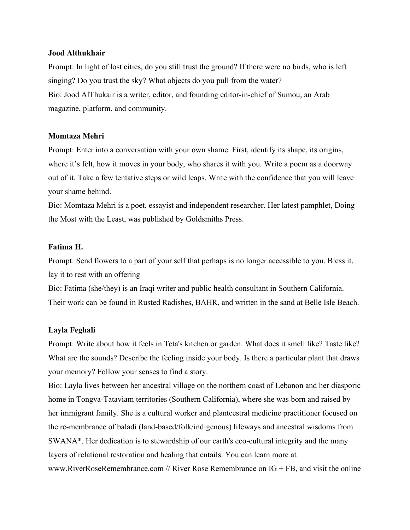### **Jood Althukhair**

Prompt: In light of lost cities, do you still trust the ground? If there were no birds, who is left singing? Do you trust the sky? What objects do you pull from the water? Bio: Jood AlThukair is a writer, editor, and founding editor-in-chief of Sumou, an Arab magazine, platform, and community.

### **Momtaza Mehri**

Prompt: Enter into a conversation with your own shame. First, identify its shape, its origins, where it's felt, how it moves in your body, who shares it with you. Write a poem as a doorway out of it. Take a few tentative steps or wild leaps. Write with the confidence that you will leave your shame behind.

Bio: Momtaza Mehri is a poet, essayist and independent researcher. Her latest pamphlet, Doing the Most with the Least, was published by Goldsmiths Press.

### **Fatima H.**

Prompt: Send flowers to a part of your self that perhaps is no longer accessible to you. Bless it, lay it to rest with an offering

Bio: Fatima (she/they) is an Iraqi writer and public health consultant in Southern California. Their work can be found in Rusted Radishes, BAHR, and written in the sand at Belle Isle Beach.

#### **Layla Feghali**

Prompt: Write about how it feels in Teta's kitchen or garden. What does it smell like? Taste like? What are the sounds? Describe the feeling inside your body. Is there a particular plant that draws your memory? Follow your senses to find a story.

Bio: Layla lives between her ancestral village on the northern coast of Lebanon and her diasporic home in Tongva-Tataviam territories (Southern California), where she was born and raised by her immigrant family. She is a cultural worker and plantcestral medicine practitioner focused on the re-membrance of baladi (land-based/folk/indigenous) lifeways and ancestral wisdoms from SWANA\*. Her dedication is to stewardship of our earth's eco-cultural integrity and the many layers of relational restoration and healing that entails. You can learn more at www.RiverRoseRemembrance.com // River Rose Remembrance on  $IG + FB$ , and visit the online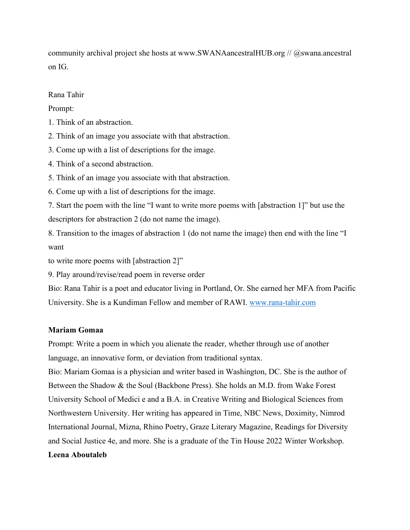community archival project she hosts at www.SWANAancestralHUB.org // @swana.ancestral on IG.

Rana Tahir

Prompt:

1. Think of an abstraction.

2. Think of an image you associate with that abstraction.

3. Come up with a list of descriptions for the image.

4. Think of a second abstraction.

5. Think of an image you associate with that abstraction.

6. Come up with a list of descriptions for the image.

7. Start the poem with the line "I want to write more poems with [abstraction 1]" but use the descriptors for abstraction 2 (do not name the image).

8. Transition to the images of abstraction 1 (do not name the image) then end with the line "I want

to write more poems with [abstraction 2]"

9. Play around/revise/read poem in reverse order

Bio: Rana Tahir is a poet and educator living in Portland, Or. She earned her MFA from Pacific University. She is a Kundiman Fellow and member of RAWI. [www.rana-tahir.com](http://www.rana-tahir.com/)

# **Mariam Gomaa**

Prompt: Write a poem in which you alienate the reader, whether through use of another language, an innovative form, or deviation from traditional syntax.

Bio: Mariam Gomaa is a physician and writer based in Washington, DC. She is the author of Between the Shadow & the Soul (Backbone Press). She holds an M.D. from Wake Forest University School of Medici e and a B.A. in Creative Writing and Biological Sciences from Northwestern University. Her writing has appeared in Time, NBC News, Doximity, Nimrod International Journal, Mizna, Rhino Poetry, Graze Literary Magazine, Readings for Diversity and Social Justice 4e, and more. She is a graduate of the Tin House 2022 Winter Workshop. **Leena Aboutaleb**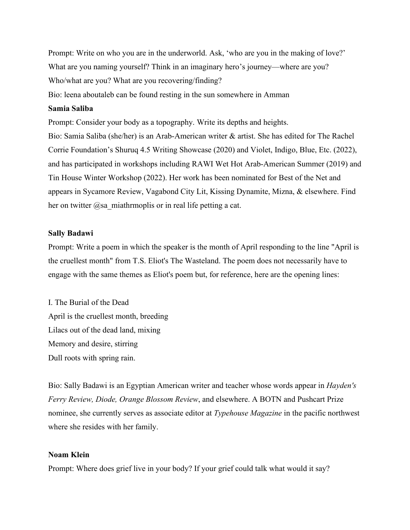Prompt: Write on who you are in the underworld. Ask, 'who are you in the making of love?' What are you naming yourself? Think in an imaginary hero's journey—where are you? Who/what are you? What are you recovering/finding?

Bio: leena aboutaleb can be found resting in the sun somewhere in Amman

# **Samia Saliba**

Prompt: Consider your body as a topography. Write its depths and heights. Bio: Samia Saliba (she/her) is an Arab-American writer & artist. She has edited for The Rachel Corrie Foundation's Shuruq 4.5 Writing Showcase (2020) and Violet, Indigo, Blue, Etc. (2022), and has participated in workshops including RAWI Wet Hot Arab-American Summer (2019) and Tin House Winter Workshop (2022). Her work has been nominated for Best of the Net and appears in Sycamore Review, Vagabond City Lit, Kissing Dynamite, Mizna, & elsewhere. Find her on twitter  $@$ sa miathrmoplis or in real life petting a cat.

### **Sally Badawi**

Prompt: Write a poem in which the speaker is the month of April responding to the line "April is the cruellest month" from T.S. Eliot's The Wasteland. The poem does not necessarily have to engage with the same themes as Eliot's poem but, for reference, here are the opening lines:

I. The Burial of the Dead April is the cruellest month, breeding Lilacs out of the dead land, mixing Memory and desire, stirring Dull roots with spring rain.

Bio: Sally Badawi is an Egyptian American writer and teacher whose words appear in *Hayden's Ferry Review, Diode, Orange Blossom Review*, and elsewhere. A BOTN and Pushcart Prize nominee, she currently serves as associate editor at *Typehouse Magazine* in the pacific northwest where she resides with her family.

### **Noam Klein**

Prompt: Where does grief live in your body? If your grief could talk what would it say?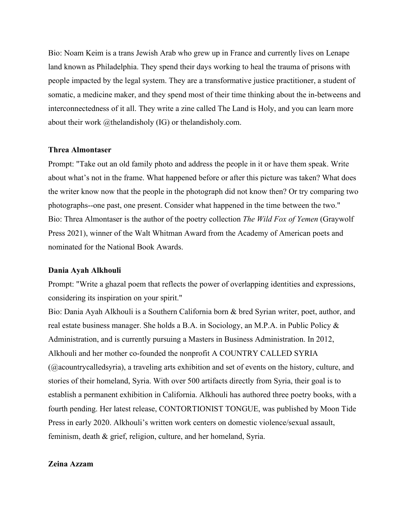Bio: Noam Keim is a trans Jewish Arab who grew up in France and currently lives on Lenape land known as Philadelphia. They spend their days working to heal the trauma of prisons with people impacted by the legal system. They are a transformative justice practitioner, a student of somatic, a medicine maker, and they spend most of their time thinking about the in-betweens and interconnectedness of it all. They write a zine called The Land is Holy, and you can learn more about their work @thelandisholy (IG) or thelandisholy.com.

#### **Threa Almontaser**

Prompt: "Take out an old family photo and address the people in it or have them speak. Write about what's not in the frame. What happened before or after this picture was taken? What does the writer know now that the people in the photograph did not know then? Or try comparing two photographs--one past, one present. Consider what happened in the time between the two." Bio: Threa Almontaser is the author of the poetry collection *The Wild Fox of Yemen* (Graywolf Press 2021), winner of the Walt Whitman Award from the Academy of American poets and nominated for the National Book Awards.

#### **Dania Ayah Alkhouli**

Prompt: "Write a ghazal poem that reflects the power of overlapping identities and expressions, considering its inspiration on your spirit."

Bio: Dania Ayah Alkhouli is a Southern California born & bred Syrian writer, poet, author, and real estate business manager. She holds a B.A. in Sociology, an M.P.A. in Public Policy & Administration, and is currently pursuing a Masters in Business Administration. In 2012, Alkhouli and her mother co-founded the nonprofit A COUNTRY CALLED SYRIA (@acountrycalledsyria), a traveling arts exhibition and set of events on the history, culture, and stories of their homeland, Syria. With over 500 artifacts directly from Syria, their goal is to establish a permanent exhibition in California. Alkhouli has authored three poetry books, with a fourth pending. Her latest release, CONTORTIONIST TONGUE, was published by Moon Tide Press in early 2020. Alkhouli's written work centers on domestic violence/sexual assault, feminism, death & grief, religion, culture, and her homeland, Syria.

### **Zeina Azzam**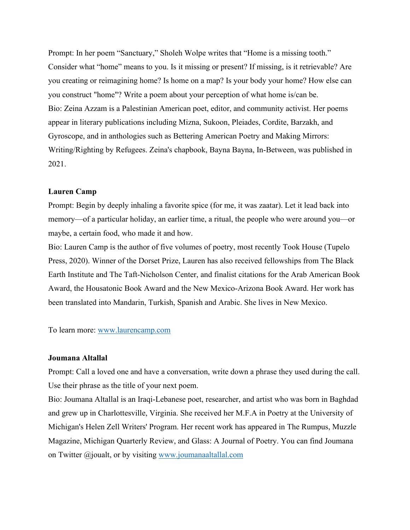Prompt: In her poem "Sanctuary," Sholeh Wolpe writes that "Home is a missing tooth." Consider what "home" means to you. Is it missing or present? If missing, is it retrievable? Are you creating or reimagining home? Is home on a map? Is your body your home? How else can you construct "home"? Write a poem about your perception of what home is/can be. Bio: Zeina Azzam is a Palestinian American poet, editor, and community activist. Her poems appear in literary publications including Mizna, Sukoon, Pleiades, Cordite, Barzakh, and Gyroscope, and in anthologies such as Bettering American Poetry and Making Mirrors: Writing/Righting by Refugees. Zeina's chapbook, Bayna Bayna, In-Between, was published in 2021.

### **Lauren Camp**

Prompt: Begin by deeply inhaling a favorite spice (for me, it was zaatar). Let it lead back into memory—of a particular holiday, an earlier time, a ritual, the people who were around you—or maybe, a certain food, who made it and how.

Bio: Lauren Camp is the author of five volumes of poetry, most recently Took House (Tupelo Press, 2020). Winner of the Dorset Prize, Lauren has also received fellowships from The Black Earth Institute and The Taft-Nicholson Center, and finalist citations for the Arab American Book Award, the Housatonic Book Award and the New Mexico-Arizona Book Award. Her work has been translated into Mandarin, Turkish, Spanish and Arabic. She lives in New Mexico.

To learn more: [www.laurencamp.com](http://www.laurencamp.com/)

### **Joumana Altallal**

Prompt: Call a loved one and have a conversation, write down a phrase they used during the call. Use their phrase as the title of your next poem.

Bio: Joumana Altallal is an Iraqi-Lebanese poet, researcher, and artist who was born in Baghdad and grew up in Charlottesville, Virginia. She received her M.F.A in Poetry at the University of Michigan's Helen Zell Writers' Program. Her recent work has appeared in The Rumpus, Muzzle Magazine, Michigan Quarterly Review, and Glass: A Journal of Poetry. You can find Joumana on Twitter @joualt, or by visiting [www.joumanaaltallal.com](http://www.joumanaaltallal.com/)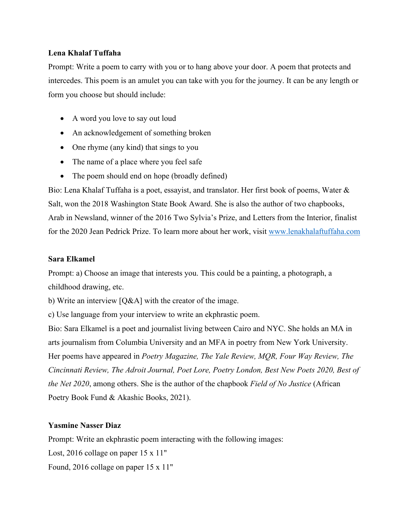# **Lena Khalaf Tuffaha**

Prompt: Write a poem to carry with you or to hang above your door. A poem that protects and intercedes. This poem is an amulet you can take with you for the journey. It can be any length or form you choose but should include:

- A word you love to say out loud
- An acknowledgement of something broken
- One rhyme (any kind) that sings to you
- The name of a place where you feel safe
- The poem should end on hope (broadly defined)

Bio: Lena Khalaf Tuffaha is a poet, essayist, and translator. Her first book of poems, Water & Salt, won the 2018 Washington State Book Award. She is also the author of two chapbooks, Arab in Newsland, winner of the 2016 Two Sylvia's Prize, and Letters from the Interior, finalist for the 2020 Jean Pedrick Prize. To learn more about her work, visit [www.lenakhalaftuffaha.com](http://www.lenakhalaftuffaha.com/)

# **Sara Elkamel**

Prompt: a) Choose an image that interests you. This could be a painting, a photograph, a childhood drawing, etc.

b) Write an interview [Q&A] with the creator of the image.

c) Use language from your interview to write an ekphrastic poem.

Bio: Sara Elkamel is a poet and journalist living between Cairo and NYC. She holds an MA in arts journalism from Columbia University and an MFA in poetry from New York University. Her poems have appeared in *Poetry Magazine, The Yale Review, MQR, Four Way Review, The Cincinnati Review, The Adroit Journal, Poet Lore, Poetry London, Best New Poets 2020, Best of the Net 2020*, among others. She is the author of the chapbook *Field of No Justice* (African Poetry Book Fund & Akashic Books, 2021).

# **Yasmine Nasser Diaz**

Prompt: Write an ekphrastic poem interacting with the following images:

Lost, 2016 collage on paper 15 x 11"

Found, 2016 collage on paper 15 x 11"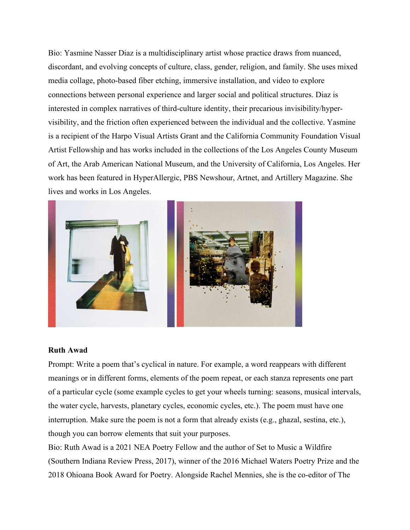Bio: Yasmine Nasser Diaz is a multidisciplinary artist whose practice draws from nuanced, discordant, and evolving concepts of culture, class, gender, religion, and family. She uses mixed media collage, photo-based fiber etching, immersive installation, and video to explore connections between personal experience and larger social and political structures. Diaz is interested in complex narratives of third-culture identity, their precarious invisibility/hypervisibility, and the friction often experienced between the individual and the collective. Yasmine is a recipient of the Harpo Visual Artists Grant and the California Community Foundation Visual Artist Fellowship and has works included in the collections of the Los Angeles County Museum of Art, the Arab American National Museum, and the University of California, Los Angeles. Her work has been featured in HyperAllergic, PBS Newshour, Artnet, and Artillery Magazine. She lives and works in Los Angeles.



# **Ruth Awad**

Prompt: Write a poem that's cyclical in nature. For example, a word reappears with different meanings or in different forms, elements of the poem repeat, or each stanza represents one part of a particular cycle (some example cycles to get your wheels turning: seasons, musical intervals, the water cycle, harvests, planetary cycles, economic cycles, etc.). The poem must have one interruption. Make sure the poem is not a form that already exists (e.g., ghazal, sestina, etc.), though you can borrow elements that suit your purposes.

Bio: Ruth Awad is a 2021 NEA Poetry Fellow and the author of Set to Music a Wildfire (Southern Indiana Review Press, 2017), winner of the 2016 Michael Waters Poetry Prize and the 2018 Ohioana Book Award for Poetry. Alongside Rachel Mennies, she is the co-editor of The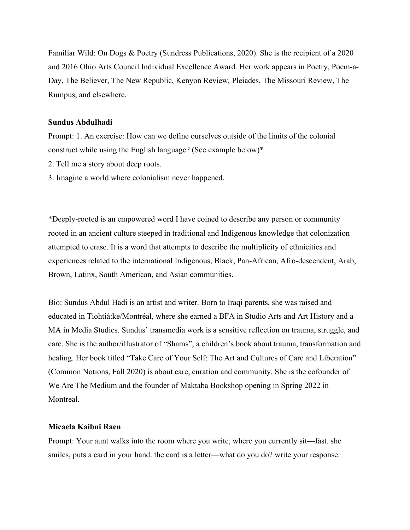Familiar Wild: On Dogs & Poetry (Sundress Publications, 2020). She is the recipient of a 2020 and 2016 Ohio Arts Council Individual Excellence Award. Her work appears in Poetry, Poem-a-Day, The Believer, The New Republic, Kenyon Review, Pleiades, The Missouri Review, The Rumpus, and elsewhere.

### **Sundus Abdulhadi**

Prompt: 1. An exercise: How can we define ourselves outside of the limits of the colonial construct while using the English language? (See example below)\*

- 2. Tell me a story about deep roots.
- 3. Imagine a world where colonialism never happened.

\*Deeply-rooted is an empowered word I have coined to describe any person or community rooted in an ancient culture steeped in traditional and Indigenous knowledge that colonization attempted to erase. It is a word that attempts to describe the multiplicity of ethnicities and experiences related to the international Indigenous, Black, Pan-African, Afro-descendent, Arab, Brown, Latinx, South American, and Asian communities.

Bio: Sundus Abdul Hadi is an artist and writer. Born to Iraqi parents, she was raised and educated in Tiohtià:ke/Montréal, where she earned a BFA in Studio Arts and Art History and a MA in Media Studies. Sundus' transmedia work is a sensitive reflection on trauma, struggle, and care. She is the author/illustrator of "Shams", a children's book about trauma, transformation and healing. Her book titled "Take Care of Your Self: The Art and Cultures of Care and Liberation" (Common Notions, Fall 2020) is about care, curation and community. She is the cofounder of We Are The Medium and the founder of Maktaba Bookshop opening in Spring 2022 in Montreal.

# **Micaela Kaibni Raen**

Prompt: Your aunt walks into the room where you write, where you currently sit—fast. she smiles, puts a card in your hand. the card is a letter—what do you do? write your response.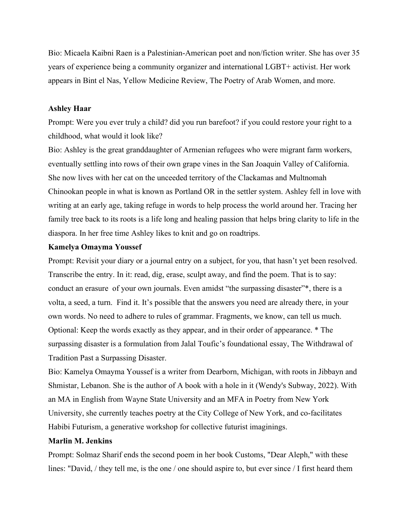Bio: Micaela Kaibni Raen is a Palestinian-American poet and non/fiction writer. She has over 35 years of experience being a community organizer and international LGBT+ activist. Her work appears in Bint el Nas, Yellow Medicine Review, The Poetry of Arab Women, and more.

### **Ashley Haar**

Prompt: Were you ever truly a child? did you run barefoot? if you could restore your right to a childhood, what would it look like?

Bio: Ashley is the great granddaughter of Armenian refugees who were migrant farm workers, eventually settling into rows of their own grape vines in the San Joaquin Valley of California. She now lives with her cat on the unceeded territory of the Clackamas and Multnomah Chinookan people in what is known as Portland OR in the settler system. Ashley fell in love with writing at an early age, taking refuge in words to help process the world around her. Tracing her family tree back to its roots is a life long and healing passion that helps bring clarity to life in the diaspora. In her free time Ashley likes to knit and go on roadtrips.

#### **Kamelya Omayma Youssef**

Prompt: Revisit your diary or a journal entry on a subject, for you, that hasn't yet been resolved. Transcribe the entry. In it: read, dig, erase, sculpt away, and find the poem. That is to say: conduct an erasure of your own journals. Even amidst "the surpassing disaster"\*, there is a volta, a seed, a turn. Find it. It's possible that the answers you need are already there, in your own words. No need to adhere to rules of grammar. Fragments, we know, can tell us much. Optional: Keep the words exactly as they appear, and in their order of appearance. \* The surpassing disaster is a formulation from Jalal Toufic's foundational essay, The Withdrawal of Tradition Past a Surpassing Disaster.

Bio: Kamelya Omayma Youssef is a writer from Dearborn, Michigan, with roots in Jibbayn and Shmistar, Lebanon. She is the author of A book with a hole in it (Wendy's Subway, 2022). With an MA in English from Wayne State University and an MFA in Poetry from New York University, she currently teaches poetry at the City College of New York, and co-facilitates Habibi Futurism, a generative workshop for collective futurist imaginings.

# **Marlin M. Jenkins**

Prompt: Solmaz Sharif ends the second poem in her book Customs, "Dear Aleph," with these lines: "David, / they tell me, is the one / one should aspire to, but ever since / I first heard them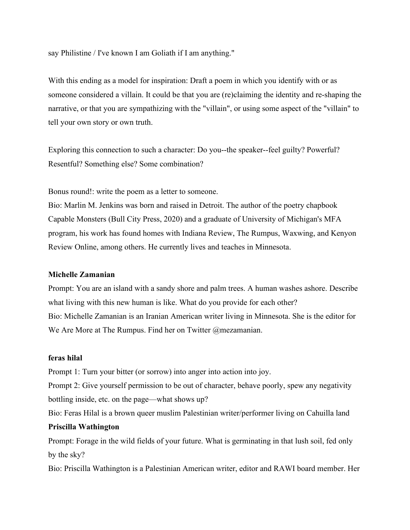say Philistine / I've known I am Goliath if I am anything."

With this ending as a model for inspiration: Draft a poem in which you identify with or as someone considered a villain. It could be that you are (re)claiming the identity and re-shaping the narrative, or that you are sympathizing with the "villain", or using some aspect of the "villain" to tell your own story or own truth.

Exploring this connection to such a character: Do you--the speaker--feel guilty? Powerful? Resentful? Something else? Some combination?

Bonus round!: write the poem as a letter to someone.

Bio: Marlin M. Jenkins was born and raised in Detroit. The author of the poetry chapbook Capable Monsters (Bull City Press, 2020) and a graduate of University of Michigan's MFA program, his work has found homes with Indiana Review, The Rumpus, Waxwing, and Kenyon Review Online, among others. He currently lives and teaches in Minnesota.

### **Michelle Zamanian**

Prompt: You are an island with a sandy shore and palm trees. A human washes ashore. Describe what living with this new human is like. What do you provide for each other? Bio: Michelle Zamanian is an Iranian American writer living in Minnesota. She is the editor for We Are More at The Rumpus. Find her on Twitter @mezamanian.

# **feras hilal**

Prompt 1: Turn your bitter (or sorrow) into anger into action into joy.

Prompt 2: Give yourself permission to be out of character, behave poorly, spew any negativity bottling inside, etc. on the page—what shows up?

Bio: Feras Hilal is a brown queer muslim Palestinian writer/performer living on Cahuilla land

### **Priscilla Wathington**

Prompt: Forage in the wild fields of your future. What is germinating in that lush soil, fed only by the sky?

Bio: Priscilla Wathington is a Palestinian American writer, editor and RAWI board member. Her